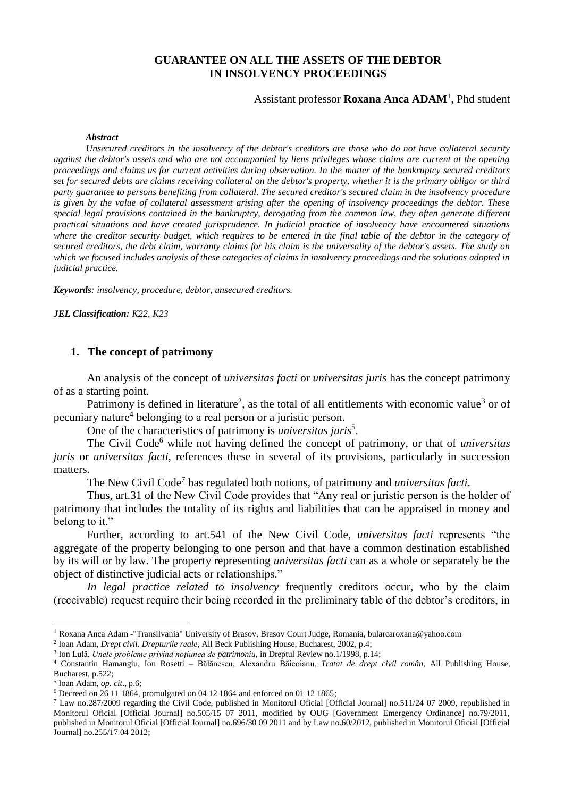## **GUARANTEE ON ALL THE ASSETS OF THE DEBTOR IN INSOLVENCY PROCEEDINGS**

## Assistant professor **Roxana Anca ADAM**<sup>1</sup> , Phd student

#### *Abstract*

*Unsecured creditors in the insolvency of the debtor's creditors are those who do not have collateral security against the debtor's assets and who are not accompanied by liens privileges whose claims are current at the opening proceedings and claims us for current activities during observation. In the matter of the bankruptcy secured creditors set for secured debts are claims receiving collateral on the debtor's property, whether it is the primary obligor or third party guarantee to persons benefiting from collateral. The secured creditor's secured claim in the insolvency procedure is given by the value of collateral assessment arising after the opening of insolvency proceedings the debtor. These special legal provisions contained in the bankruptcy, derogating from the common law, they often generate different practical situations and have created jurisprudence. In judicial practice of insolvency have encountered situations*  where the creditor security budget, which requires to be entered in the final table of the debtor in the category of *secured creditors, the debt claim, warranty claims for his claim is the universality of the debtor's assets. The study on which we focused includes analysis of these categories of claims in insolvency proceedings and the solutions adopted in judicial practice.*

*Keywords: insolvency, procedure, debtor, unsecured creditors.*

*JEL Classification: K22, K23*

#### **1. The concept of patrimony**

An analysis of the concept of *universitas facti* or *universitas juris* has the concept patrimony of as a starting point.

Patrimony is defined in literature<sup>2</sup>, as the total of all entitlements with economic value<sup>3</sup> or of pecuniary nature<sup>4</sup> belonging to a real person or a juristic person.

One of the characteristics of patrimony is *universitas juris*<sup>5</sup>.

The Civil Code<sup>6</sup> while not having defined the concept of patrimony, or that of *universitas juris* or *universitas facti*, references these in several of its provisions, particularly in succession matters.

The New Civil Code<sup>7</sup> has regulated both notions, of patrimony and *universitas facti*.

Thus, art.31 of the New Civil Code provides that "Any real or juristic person is the holder of patrimony that includes the totality of its rights and liabilities that can be appraised in money and belong to it."

Further, according to art.541 of the New Civil Code, *universitas facti* represents "the aggregate of the property belonging to one person and that have a common destination established by its will or by law. The property representing *universitas facti* can as a whole or separately be the object of distinctive judicial acts or relationships."

*In legal practice related to insolvency* frequently creditors occur, who by the claim (receivable) request require their being recorded in the preliminary table of the debtor's creditors, in

<sup>1</sup> Roxana Anca Adam -"Transilvania" University of Brasov, Brasov Court Judge, Romania, bularcaroxana@yahoo.com

<sup>2</sup> Ioan Adam, *Drept civil. Drepturile reale*, All Beck Publishing House, Bucharest, 2002, p.4;

<sup>3</sup> Ion Lulă, *Unele probleme privind noțiunea de patrimoniu*, in Dreptul Review no.1/1998, p.14;

<sup>4</sup> Constantin Hamangiu, Ion Rosetti – Bălănescu, Alexandru Băicoianu, *Tratat de drept civil român*, All Publishing House, Bucharest, p.522;

<sup>5</sup> Ioan Adam*, op. cit*., p.6;

 $6$  Decreed on 26 11 1864, promulgated on 04 12 1864 and enforced on 01 12 1865;

<sup>7</sup> Law no.287/2009 regarding the Civil Code, published in Monitorul Oficial [Official Journal] no.511/24 07 2009, republished in Monitorul Oficial [Official Journal] no.505/15 07 2011, modified by OUG [Government Emergency Ordinance] no.79/2011, published in Monitorul Oficial [Official Journal] no.696/30 09 2011 and by Law no.60/2012, published in Monitorul Oficial [Official Journal] no.255/17 04 2012;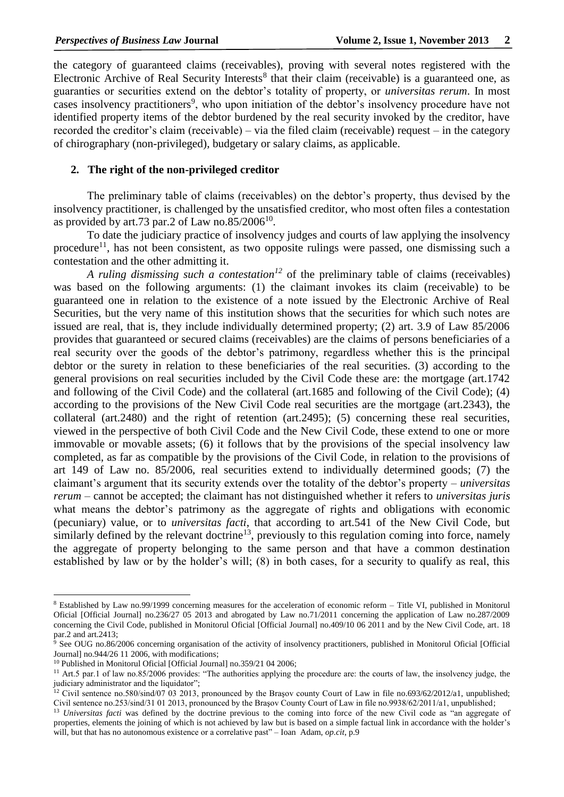the category of guaranteed claims (receivables), proving with several notes registered with the Electronic Archive of Real Security Interests<sup>8</sup> that their claim (receivable) is a guaranteed one, as guaranties or securities extend on the debtor's totality of property, or *universitas rerum*. In most cases insolvency practitioners<sup>9</sup>, who upon initiation of the debtor's insolvency procedure have not identified property items of the debtor burdened by the real security invoked by the creditor, have recorded the creditor's claim (receivable) – via the filed claim (receivable) request – in the category of chirographary (non-privileged), budgetary or salary claims, as applicable.

#### **2. The right of the non-privileged creditor**

The preliminary table of claims (receivables) on the debtor's property, thus devised by the insolvency practitioner, is challenged by the unsatisfied creditor, who most often files a contestation as provided by art.73 par.2 of Law no.85/2006 $^{10}$ .

To date the judiciary practice of insolvency judges and courts of law applying the insolvency procedure<sup>11</sup>, has not been consistent, as two opposite rulings were passed, one dismissing such a contestation and the other admitting it.

*A ruling dismissing such a contestation<sup>12</sup>* of the preliminary table of claims (receivables) was based on the following arguments: (1) the claimant invokes its claim (receivable) to be guaranteed one in relation to the existence of a note issued by the Electronic Archive of Real Securities, but the very name of this institution shows that the securities for which such notes are issued are real, that is, they include individually determined property; (2) art. 3.9 of Law 85/2006 provides that guaranteed or secured claims (receivables) are the claims of persons beneficiaries of a real security over the goods of the debtor's patrimony, regardless whether this is the principal debtor or the surety in relation to these beneficiaries of the real securities. (3) according to the general provisions on real securities included by the Civil Code these are: the mortgage (art.1742 and following of the Civil Code) and the collateral (art.1685 and following of the Civil Code); (4) according to the provisions of the New Civil Code real securities are the mortgage (art.2343), the collateral (art.2480) and the right of retention (art.2495); (5) concerning these real securities, viewed in the perspective of both Civil Code and the New Civil Code, these extend to one or more immovable or movable assets; (6) it follows that by the provisions of the special insolvency law completed, as far as compatible by the provisions of the Civil Code, in relation to the provisions of art 149 of Law no. 85/2006, real securities extend to individually determined goods; (7) the claimant's argument that its security extends over the totality of the debtor's property – *universitas rerum* – cannot be accepted; the claimant has not distinguished whether it refers to *universitas juris* what means the debtor's patrimony as the aggregate of rights and obligations with economic (pecuniary) value, or to *universitas facti*, that according to art.541 of the New Civil Code, but similarly defined by the relevant doctrine<sup>13</sup>, previously to this regulation coming into force, namely the aggregate of property belonging to the same person and that have a common destination established by law or by the holder's will; (8) in both cases, for a security to qualify as real, this

<sup>8</sup> Established by Law no.99/1999 concerning measures for the acceleration of economic reform – Title VI, published in Monitorul Oficial [Official Journal] no.236/27 05 2013 and abrogated by Law no.71/2011 concerning the application of Law no.287/2009 concerning the Civil Code, published in Monitorul Oficial [Official Journal] no.409/10 06 2011 and by the New Civil Code, art. 18 par.2 and art.2413;

 $\frac{1}{9}$  See OUG no.86/2006 concerning organisation of the activity of insolvency practitioners, published in Monitorul Oficial [Official Journal] no.944/26 11 2006, with modifications;

<sup>&</sup>lt;sup>10</sup> Published in Monitorul Oficial [Official Journal] no.359/21 04 2006;

<sup>&</sup>lt;sup>11</sup> Art.5 par.1 of law no.85/2006 provides: "The authorities applying the procedure are: the courts of law, the insolvency judge, the judiciary administrator and the liquidator";

<sup>&</sup>lt;sup>12</sup> Civil sentence no.580/sind/07 03 2013, pronounced by the Brașov county Court of Law in file no.693/62/2012/a1, unpublished; Civil sentence no.253/sind/31 01 2013, pronounced by the Braşov County Court of Law in file no.9938/62/2011/a1, unpublished;

<sup>&</sup>lt;sup>13</sup> *Universitas facti* was defined by the doctrine previous to the coming into force of the new Civil code as "an aggregate of properties, elements the joining of which is not achieved by law but is based on a simple factual link in accordance with the holder's will, but that has no autonomous existence or a correlative past" – Ioan Adam, *op.cit*, p.9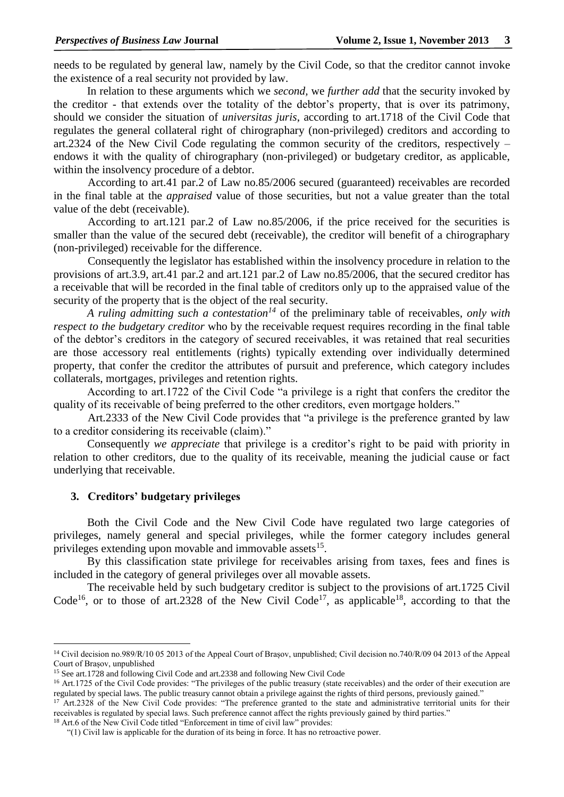needs to be regulated by general law, namely by the Civil Code, so that the creditor cannot invoke the existence of a real security not provided by law.

In relation to these arguments which we *second,* we *further add* that the security invoked by the creditor - that extends over the totality of the debtor's property, that is over its patrimony, should we consider the situation of *universitas juris*, according to art.1718 of the Civil Code that regulates the general collateral right of chirographary (non-privileged) creditors and according to art.2324 of the New Civil Code regulating the common security of the creditors, respectively – endows it with the quality of chirographary (non-privileged) or budgetary creditor, as applicable, within the insolvency procedure of a debtor.

According to art.41 par.2 of Law no.85/2006 secured (guaranteed) receivables are recorded in the final table at the *appraised* value of those securities, but not a value greater than the total value of the debt (receivable).

According to art.121 par.2 of Law no.85/2006, if the price received for the securities is smaller than the value of the secured debt (receivable), the creditor will benefit of a chirographary (non-privileged) receivable for the difference.

Consequently the legislator has established within the insolvency procedure in relation to the provisions of art.3.9, art.41 par.2 and art.121 par.2 of Law no.85/2006, that the secured creditor has a receivable that will be recorded in the final table of creditors only up to the appraised value of the security of the property that is the object of the real security.

*A ruling admitting such a contestation<sup>14</sup>* of the preliminary table of receivables, *only with respect to the budgetary creditor* who by the receivable request requires recording in the final table of the debtor's creditors in the category of secured receivables, it was retained that real securities are those accessory real entitlements (rights) typically extending over individually determined property, that confer the creditor the attributes of pursuit and preference, which category includes collaterals, mortgages, privileges and retention rights.

According to art.1722 of the Civil Code "a privilege is a right that confers the creditor the quality of its receivable of being preferred to the other creditors, even mortgage holders."

Art.2333 of the New Civil Code provides that "a privilege is the preference granted by law to a creditor considering its receivable (claim)."

Consequently *we appreciate* that privilege is a creditor's right to be paid with priority in relation to other creditors, due to the quality of its receivable, meaning the judicial cause or fact underlying that receivable.

### **3. Creditors' budgetary privileges**

1

Both the Civil Code and the New Civil Code have regulated two large categories of privileges, namely general and special privileges, while the former category includes general privileges extending upon movable and immovable assets<sup>15</sup>.

By this classification state privilege for receivables arising from taxes, fees and fines is included in the category of general privileges over all movable assets.

The receivable held by such budgetary creditor is subject to the provisions of art.1725 Civil Code<sup>16</sup>, or to those of art.2328 of the New Civil Code<sup>17</sup>, as applicable<sup>18</sup>, according to that the

<sup>14</sup> Civil decision no.989/R/10 05 2013 of the Appeal Court of Brașov, unpublished; Civil decision no.740/R/09 04 2013 of the Appeal Court of Brașov, unpublished

<sup>15</sup> See art.1728 and following Civil Code and art.2338 and following New Civil Code

<sup>&</sup>lt;sup>16</sup> Art.1725 of the Civil Code provides: "The privileges of the public treasury (state receivables) and the order of their execution are regulated by special laws. The public treasury cannot obtain a privilege against the rights of third persons, previously gained."

<sup>&</sup>lt;sup>17</sup> Art.2328 of the New Civil Code provides: "The preference granted to the state and administrative territorial units for their receivables is regulated by special laws. Such preference cannot affect the rights previously gained by third parties."

<sup>&</sup>lt;sup>18</sup> Art.6 of the New Civil Code titled "Enforcement in time of civil law" provides:

<sup>&</sup>quot;(1) Civil law is applicable for the duration of its being in force. It has no retroactive power.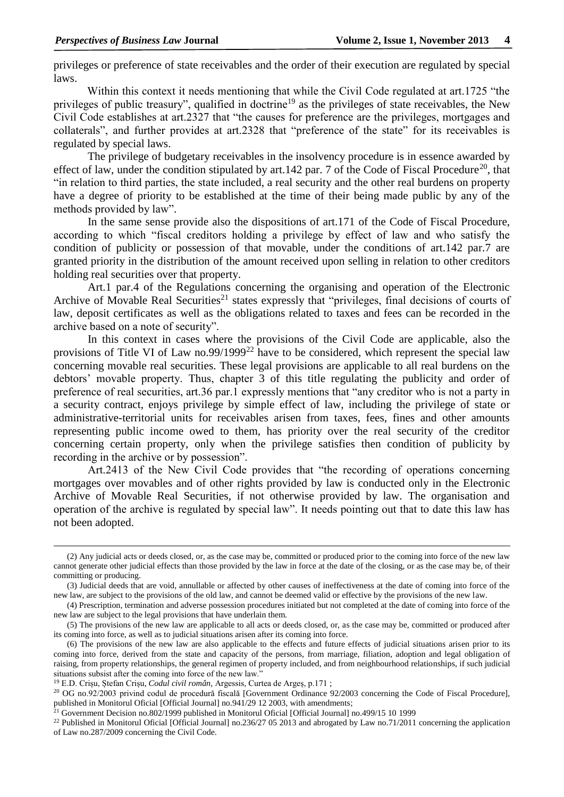privileges or preference of state receivables and the order of their execution are regulated by special laws.

Within this context it needs mentioning that while the Civil Code regulated at art.1725 "the privileges of public treasury", qualified in doctrine<sup>19</sup> as the privileges of state receivables, the New Civil Code establishes at art.2327 that "the causes for preference are the privileges, mortgages and collaterals", and further provides at art.2328 that "preference of the state" for its receivables is regulated by special laws.

The privilege of budgetary receivables in the insolvency procedure is in essence awarded by effect of law, under the condition stipulated by art.142 par. 7 of the Code of Fiscal Procedure<sup>20</sup>, that "in relation to third parties, the state included, a real security and the other real burdens on property have a degree of priority to be established at the time of their being made public by any of the methods provided by law".

In the same sense provide also the dispositions of art.171 of the Code of Fiscal Procedure, according to which "fiscal creditors holding a privilege by effect of law and who satisfy the condition of publicity or possession of that movable, under the conditions of art.142 par.7 are granted priority in the distribution of the amount received upon selling in relation to other creditors holding real securities over that property.

Art.1 par.4 of the Regulations concerning the organising and operation of the Electronic Archive of Movable Real Securities<sup>21</sup> states expressly that "privileges, final decisions of courts of law, deposit certificates as well as the obligations related to taxes and fees can be recorded in the archive based on a note of security".

In this context in cases where the provisions of the Civil Code are applicable, also the provisions of Title VI of Law no.99/1999<sup>22</sup> have to be considered, which represent the special law concerning movable real securities. These legal provisions are applicable to all real burdens on the debtors' movable property. Thus, chapter 3 of this title regulating the publicity and order of preference of real securities, art.36 par.1 expressly mentions that "any creditor who is not a party in a security contract, enjoys privilege by simple effect of law, including the privilege of state or administrative-territorial units for receivables arisen from taxes, fees, fines and other amounts representing public income owed to them, has priority over the real security of the creditor concerning certain property, only when the privilege satisfies then condition of publicity by recording in the archive or by possession".

Art.2413 of the New Civil Code provides that "the recording of operations concerning mortgages over movables and of other rights provided by law is conducted only in the Electronic Archive of Movable Real Securities, if not otherwise provided by law. The organisation and operation of the archive is regulated by special law". It needs pointing out that to date this law has not been adopted.

<sup>(2)</sup> Any judicial acts or deeds closed, or, as the case may be, committed or produced prior to the coming into force of the new law cannot generate other judicial effects than those provided by the law in force at the date of the closing, or as the case may be, of their committing or producing.

<sup>(3)</sup> Judicial deeds that are void, annullable or affected by other causes of ineffectiveness at the date of coming into force of the new law, are subject to the provisions of the old law, and cannot be deemed valid or effective by the provisions of the new law.

<sup>(4)</sup> Prescription, termination and adverse possession procedures initiated but not completed at the date of coming into force of the new law are subject to the legal provisions that have underlain them.

<sup>(5)</sup> The provisions of the new law are applicable to all acts or deeds closed, or, as the case may be, committed or produced after its coming into force, as well as to judicial situations arisen after its coming into force.

<sup>(6)</sup> The provisions of the new law are also applicable to the effects and future effects of judicial situations arisen prior to its coming into force, derived from the state and capacity of the persons, from marriage, filiation, adoption and legal obligation of raising, from property relationships, the general regimen of property included, and from neighbourhood relationships, if such judicial situations subsist after the coming into force of the new law."

<sup>19</sup> E.D. Crișu, Ștefan Crișu*, Codul civil român*, Argessis, Curtea de Argeș, p.171 ;

<sup>20</sup> OG no.92/2003 privind codul de procedură fiscală [Government Ordinance 92/2003 concerning the Code of Fiscal Procedure], published in Monitorul Oficial [Official Journal] no.941/29 12 2003, with amendments;

<sup>&</sup>lt;sup>21</sup> Government Decision no.802/1999 published in Monitorul Oficial [Official Journal] no.499/15 10 1999

<sup>&</sup>lt;sup>22</sup> Published in Monitorul Oficial [Official Journal] no.236/27 05 2013 and abrogated by Law no.71/2011 concerning the application of Law no.287/2009 concerning the Civil Code.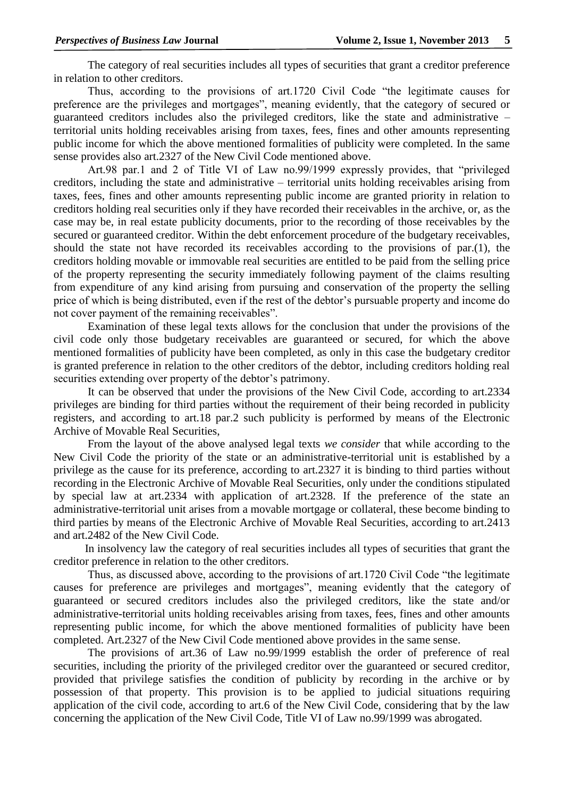The category of real securities includes all types of securities that grant a creditor preference in relation to other creditors.

Thus, according to the provisions of art.1720 Civil Code "the legitimate causes for preference are the privileges and mortgages", meaning evidently, that the category of secured or guaranteed creditors includes also the privileged creditors, like the state and administrative – territorial units holding receivables arising from taxes, fees, fines and other amounts representing public income for which the above mentioned formalities of publicity were completed. In the same sense provides also art.2327 of the New Civil Code mentioned above.

Art.98 par.1 and 2 of Title VI of Law no.99/1999 expressly provides, that "privileged creditors, including the state and administrative – territorial units holding receivables arising from taxes, fees, fines and other amounts representing public income are granted priority in relation to creditors holding real securities only if they have recorded their receivables in the archive, or, as the case may be, in real estate publicity documents, prior to the recording of those receivables by the secured or guaranteed creditor. Within the debt enforcement procedure of the budgetary receivables, should the state not have recorded its receivables according to the provisions of par.(1), the creditors holding movable or immovable real securities are entitled to be paid from the selling price of the property representing the security immediately following payment of the claims resulting from expenditure of any kind arising from pursuing and conservation of the property the selling price of which is being distributed, even if the rest of the debtor's pursuable property and income do not cover payment of the remaining receivables".

 Examination of these legal texts allows for the conclusion that under the provisions of the civil code only those budgetary receivables are guaranteed or secured, for which the above mentioned formalities of publicity have been completed, as only in this case the budgetary creditor is granted preference in relation to the other creditors of the debtor, including creditors holding real securities extending over property of the debtor's patrimony.

It can be observed that under the provisions of the New Civil Code, according to art.2334 privileges are binding for third parties without the requirement of their being recorded in publicity registers, and according to art.18 par.2 such publicity is performed by means of the Electronic Archive of Movable Real Securities,

From the layout of the above analysed legal texts *we consider* that while according to the New Civil Code the priority of the state or an administrative-territorial unit is established by a privilege as the cause for its preference, according to art.2327 it is binding to third parties without recording in the Electronic Archive of Movable Real Securities, only under the conditions stipulated by special law at art.2334 with application of art.2328. If the preference of the state an administrative-territorial unit arises from a movable mortgage or collateral, these become binding to third parties by means of the Electronic Archive of Movable Real Securities, according to art.2413 and art.2482 of the New Civil Code.

 In insolvency law the category of real securities includes all types of securities that grant the creditor preference in relation to the other creditors.

Thus, as discussed above, according to the provisions of art.1720 Civil Code "the legitimate causes for preference are privileges and mortgages", meaning evidently that the category of guaranteed or secured creditors includes also the privileged creditors, like the state and/or administrative-territorial units holding receivables arising from taxes, fees, fines and other amounts representing public income, for which the above mentioned formalities of publicity have been completed. Art.2327 of the New Civil Code mentioned above provides in the same sense.

The provisions of art.36 of Law no.99/1999 establish the order of preference of real securities, including the priority of the privileged creditor over the guaranteed or secured creditor, provided that privilege satisfies the condition of publicity by recording in the archive or by possession of that property. This provision is to be applied to judicial situations requiring application of the civil code, according to art.6 of the New Civil Code, considering that by the law concerning the application of the New Civil Code, Title VI of Law no.99/1999 was abrogated.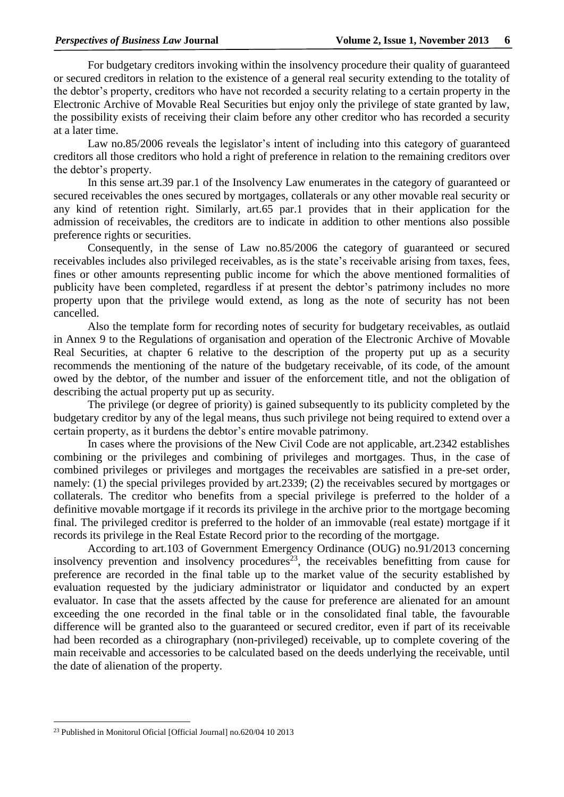For budgetary creditors invoking within the insolvency procedure their quality of guaranteed or secured creditors in relation to the existence of a general real security extending to the totality of the debtor's property, creditors who have not recorded a security relating to a certain property in the Electronic Archive of Movable Real Securities but enjoy only the privilege of state granted by law, the possibility exists of receiving their claim before any other creditor who has recorded a security at a later time.

Law no.85/2006 reveals the legislator's intent of including into this category of guaranteed creditors all those creditors who hold a right of preference in relation to the remaining creditors over the debtor's property.

In this sense art.39 par.1 of the Insolvency Law enumerates in the category of guaranteed or secured receivables the ones secured by mortgages, collaterals or any other movable real security or any kind of retention right. Similarly, art.65 par.1 provides that in their application for the admission of receivables, the creditors are to indicate in addition to other mentions also possible preference rights or securities.

Consequently, in the sense of Law no.85/2006 the category of guaranteed or secured receivables includes also privileged receivables, as is the state's receivable arising from taxes, fees, fines or other amounts representing public income for which the above mentioned formalities of publicity have been completed, regardless if at present the debtor's patrimony includes no more property upon that the privilege would extend, as long as the note of security has not been cancelled.

Also the template form for recording notes of security for budgetary receivables, as outlaid in Annex 9 to the Regulations of organisation and operation of the Electronic Archive of Movable Real Securities, at chapter 6 relative to the description of the property put up as a security recommends the mentioning of the nature of the budgetary receivable, of its code, of the amount owed by the debtor, of the number and issuer of the enforcement title, and not the obligation of describing the actual property put up as security.

The privilege (or degree of priority) is gained subsequently to its publicity completed by the budgetary creditor by any of the legal means, thus such privilege not being required to extend over a certain property, as it burdens the debtor's entire movable patrimony.

In cases where the provisions of the New Civil Code are not applicable, art.2342 establishes combining or the privileges and combining of privileges and mortgages. Thus, in the case of combined privileges or privileges and mortgages the receivables are satisfied in a pre-set order, namely: (1) the special privileges provided by art.2339; (2) the receivables secured by mortgages or collaterals. The creditor who benefits from a special privilege is preferred to the holder of a definitive movable mortgage if it records its privilege in the archive prior to the mortgage becoming final. The privileged creditor is preferred to the holder of an immovable (real estate) mortgage if it records its privilege in the Real Estate Record prior to the recording of the mortgage.

According to art.103 of Government Emergency Ordinance (OUG) no.91/2013 concerning insolvency prevention and insolvency procedures<sup>23</sup>, the receivables benefitting from cause for preference are recorded in the final table up to the market value of the security established by evaluation requested by the judiciary administrator or liquidator and conducted by an expert evaluator. In case that the assets affected by the cause for preference are alienated for an amount exceeding the one recorded in the final table or in the consolidated final table, the favourable difference will be granted also to the guaranteed or secured creditor, even if part of its receivable had been recorded as a chirographary (non-privileged) receivable, up to complete covering of the main receivable and accessories to be calculated based on the deeds underlying the receivable, until the date of alienation of the property.

<sup>1</sup> <sup>23</sup> Published in Monitorul Oficial [Official Journal] no.620/04 10 2013